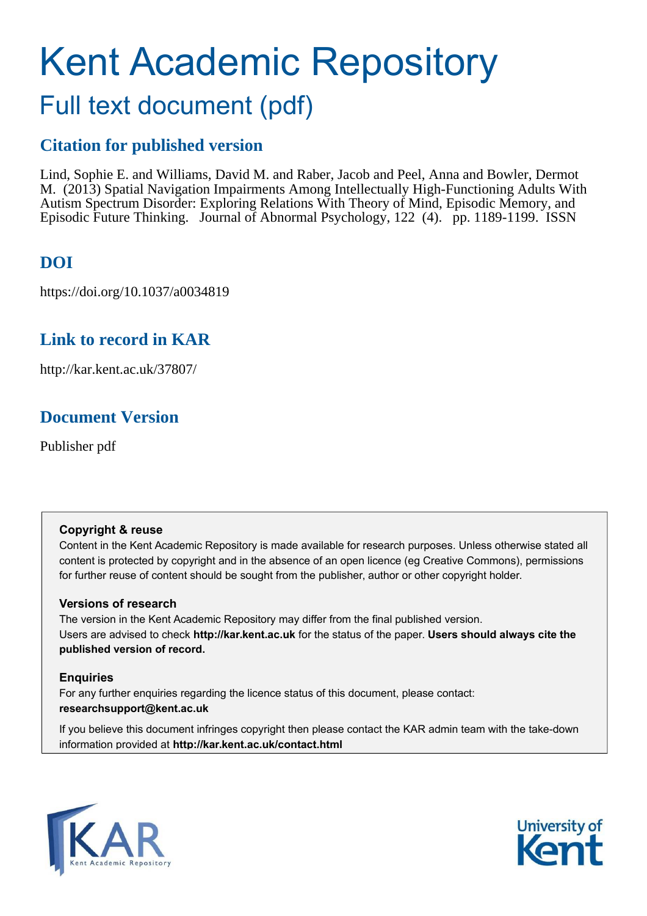# Kent Academic Repository Full text document (pdf)

## **Citation for published version**

Lind, Sophie E. and Williams, David M. and Raber, Jacob and Peel, Anna and Bowler, Dermot M. (2013) Spatial Navigation Impairments Among Intellectually High-Functioning Adults With Autism Spectrum Disorder: Exploring Relations With Theory of Mind, Episodic Memory, and Episodic Future Thinking. Journal of Abnormal Psychology, 122 (4). pp. 1189-1199. ISSN

## **DOI**

https://doi.org/10.1037/a0034819

## **Link to record in KAR**

http://kar.kent.ac.uk/37807/

## **Document Version**

Publisher pdf

#### **Copyright & reuse**

Content in the Kent Academic Repository is made available for research purposes. Unless otherwise stated all content is protected by copyright and in the absence of an open licence (eg Creative Commons), permissions for further reuse of content should be sought from the publisher, author or other copyright holder.

#### **Versions of research**

The version in the Kent Academic Repository may differ from the final published version. Users are advised to check **http://kar.kent.ac.uk** for the status of the paper. **Users should always cite the published version of record.**

#### **Enquiries**

For any further enquiries regarding the licence status of this document, please contact: **researchsupport@kent.ac.uk**

If you believe this document infringes copyright then please contact the KAR admin team with the take-down information provided at **http://kar.kent.ac.uk/contact.html**



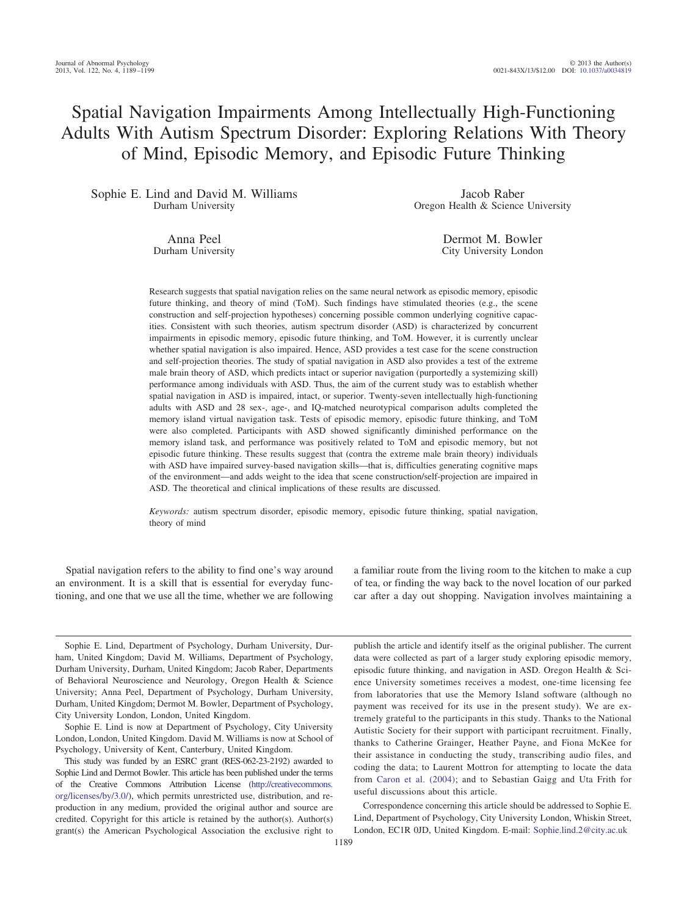### Spatial Navigation Impairments Among Intellectually High-Functioning Adults With Autism Spectrum Disorder: Exploring Relations With Theory of Mind, Episodic Memory, and Episodic Future Thinking

Sophie E. Lind and David M. Williams Durham University

Jacob Raber Oregon Health & Science University

Anna Peel Durham University

Dermot M. Bowler City University London

Research suggests that spatial navigation relies on the same neural network as episodic memory, episodic future thinking, and theory of mind (ToM). Such findings have stimulated theories (e.g., the scene construction and self-projection hypotheses) concerning possible common underlying cognitive capacities. Consistent with such theories, autism spectrum disorder (ASD) is characterized by concurrent impairments in episodic memory, episodic future thinking, and ToM. However, it is currently unclear whether spatial navigation is also impaired. Hence, ASD provides a test case for the scene construction and self-projection theories. The study of spatial navigation in ASD also provides a test of the extreme male brain theory of ASD, which predicts intact or superior navigation (purportedly a systemizing skill) performance among individuals with ASD. Thus, the aim of the current study was to establish whether spatial navigation in ASD is impaired, intact, or superior. Twenty-seven intellectually high-functioning adults with ASD and 28 sex-, age-, and IQ-matched neurotypical comparison adults completed the memory island virtual navigation task. Tests of episodic memory, episodic future thinking, and ToM were also completed. Participants with ASD showed significantly diminished performance on the memory island task, and performance was positively related to ToM and episodic memory, but not episodic future thinking. These results suggest that (contra the extreme male brain theory) individuals with ASD have impaired survey-based navigation skills—that is, difficulties generating cognitive maps of the environment—and adds weight to the idea that scene construction/self-projection are impaired in ASD. The theoretical and clinical implications of these results are discussed.

*Keywords:* autism spectrum disorder, episodic memory, episodic future thinking, spatial navigation, theory of mind

Spatial navigation refers to the ability to find one's way around an environment. It is a skill that is essential for everyday functioning, and one that we use all the time, whether we are following a familiar route from the living room to the kitchen to make a cup of tea, or finding the way back to the novel location of our parked car after a day out shopping. Navigation involves maintaining a

Sophie E. Lind, Department of Psychology, Durham University, Durham, United Kingdom; David M. Williams, Department of Psychology, Durham University, Durham, United Kingdom; Jacob Raber, Departments of Behavioral Neuroscience and Neurology, Oregon Health & Science University; Anna Peel, Department of Psychology, Durham University, Durham, United Kingdom; Dermot M. Bowler, Department of Psychology, City University London, London, United Kingdom.

Sophie E. Lind is now at Department of Psychology, City University London, London, United Kingdom. David M. Williams is now at School of Psychology, University of Kent, Canterbury, United Kingdom.

This study was funded by an ESRC grant (RES-062-23-2192) awarded to Sophie Lind and Dermot Bowler. This article has been published under the terms of the Creative Commons Attribution License [\(http://creativecommons.](http://creativecommons.org/licenses/by/3.0/) [org/licenses/by/3.0/\)](http://creativecommons.org/licenses/by/3.0/), which permits unrestricted use, distribution, and reproduction in any medium, provided the original author and source are credited. Copyright for this article is retained by the author(s). Author(s) grant(s) the American Psychological Association the exclusive right to

publish the article and identify itself as the original publisher. The current data were collected as part of a larger study exploring episodic memory, episodic future thinking, and navigation in ASD. Oregon Health & Science University sometimes receives a modest, one-time licensing fee from laboratories that use the Memory Island software (although no payment was received for its use in the present study). We are extremely grateful to the participants in this study. Thanks to the National Autistic Society for their support with participant recruitment. Finally, thanks to Catherine Grainger, Heather Payne, and Fiona McKee for their assistance in conducting the study, transcribing audio files, and coding the data; to Laurent Mottron for attempting to locate the data from [Caron et al. \(2004\);](#page-9-0) and to Sebastian Gaigg and Uta Frith for useful discussions about this article.

Correspondence concerning this article should be addressed to Sophie E. Lind, Department of Psychology, City University London, Whiskin Street, London, EC1R 0JD, United Kingdom. E-mail: [Sophie.lind.2@city.ac.uk](mailto:Sophie.lind.2@city.ac.uk)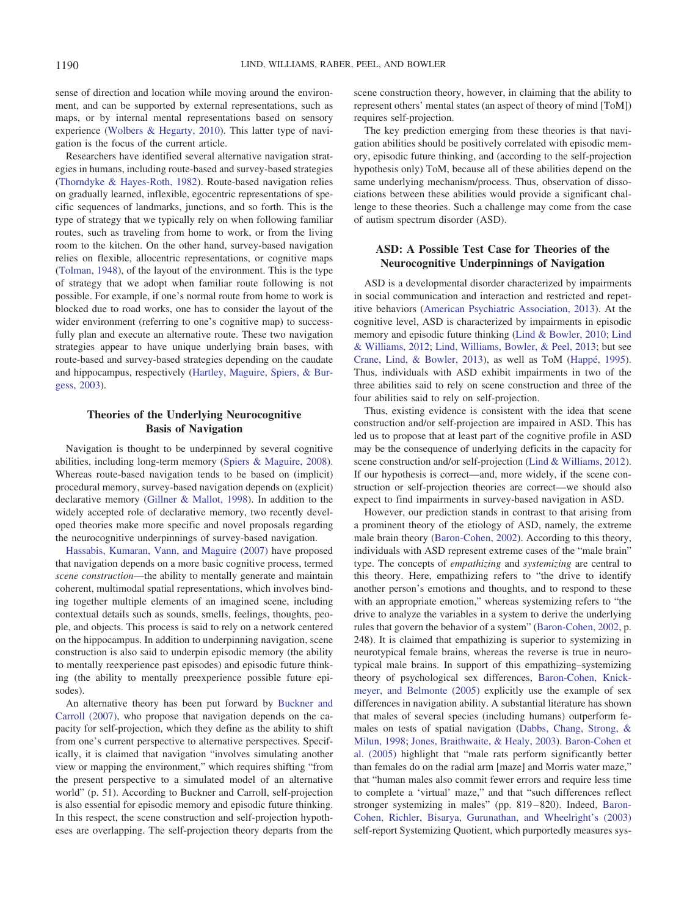sense of direction and location while moving around the environment, and can be supported by external representations, such as maps, or by internal mental representations based on sensory experience [\(Wolbers & Hegarty, 2010\)](#page-10-0). This latter type of navigation is the focus of the current article.

Researchers have identified several alternative navigation strategies in humans, including route-based and survey-based strategies [\(Thorndyke & Hayes-Roth, 1982\)](#page-10-1). Route-based navigation relies on gradually learned, inflexible, egocentric representations of specific sequences of landmarks, junctions, and so forth. This is the type of strategy that we typically rely on when following familiar routes, such as traveling from home to work, or from the living room to the kitchen. On the other hand, survey-based navigation relies on flexible, allocentric representations, or cognitive maps [\(Tolman, 1948\)](#page-10-2), of the layout of the environment. This is the type of strategy that we adopt when familiar route following is not possible. For example, if one's normal route from home to work is blocked due to road works, one has to consider the layout of the wider environment (referring to one's cognitive map) to successfully plan and execute an alternative route. These two navigation strategies appear to have unique underlying brain bases, with route-based and survey-based strategies depending on the caudate and hippocampus, respectively [\(Hartley, Maguire, Spiers, & Bur](#page-9-1)[gess, 2003\)](#page-9-1).

#### **Theories of the Underlying Neurocognitive Basis of Navigation**

Navigation is thought to be underpinned by several cognitive abilities, including long-term memory [\(Spiers & Maguire, 2008\)](#page-10-3). Whereas route-based navigation tends to be based on (implicit) procedural memory, survey-based navigation depends on (explicit) declarative memory [\(Gillner & Mallot, 1998\)](#page-9-2). In addition to the widely accepted role of declarative memory, two recently developed theories make more specific and novel proposals regarding the neurocognitive underpinnings of survey-based navigation.

[Hassabis, Kumaran, Vann, and Maguire \(2007\)](#page-9-3) have proposed that navigation depends on a more basic cognitive process, termed *scene construction*—the ability to mentally generate and maintain coherent, multimodal spatial representations, which involves binding together multiple elements of an imagined scene, including contextual details such as sounds, smells, feelings, thoughts, people, and objects. This process is said to rely on a network centered on the hippocampus. In addition to underpinning navigation, scene construction is also said to underpin episodic memory (the ability to mentally reexperience past episodes) and episodic future thinking (the ability to mentally preexperience possible future episodes).

An alternative theory has been put forward by [Buckner and](#page-9-4) [Carroll \(2007\),](#page-9-4) who propose that navigation depends on the capacity for self-projection, which they define as the ability to shift from one's current perspective to alternative perspectives. Specifically, it is claimed that navigation "involves simulating another view or mapping the environment," which requires shifting "from the present perspective to a simulated model of an alternative world" (p. 51). According to Buckner and Carroll, self-projection is also essential for episodic memory and episodic future thinking. In this respect, the scene construction and self-projection hypotheses are overlapping. The self-projection theory departs from the scene construction theory, however, in claiming that the ability to represent others' mental states (an aspect of theory of mind [ToM]) requires self-projection.

The key prediction emerging from these theories is that navigation abilities should be positively correlated with episodic memory, episodic future thinking, and (according to the self-projection hypothesis only) ToM, because all of these abilities depend on the same underlying mechanism/process. Thus, observation of dissociations between these abilities would provide a significant challenge to these theories. Such a challenge may come from the case of autism spectrum disorder (ASD).

#### **ASD: A Possible Test Case for Theories of the Neurocognitive Underpinnings of Navigation**

ASD is a developmental disorder characterized by impairments in social communication and interaction and restricted and repetitive behaviors [\(American Psychiatric Association, 2013\)](#page-9-5). At the cognitive level, ASD is characterized by impairments in episodic memory and episodic future thinking [\(Lind & Bowler, 2010;](#page-9-6) [Lind](#page-9-7) [& Williams, 2012;](#page-9-7) [Lind, Williams, Bowler, & Peel, 2013;](#page-9-8) but see [Crane, Lind, & Bowler, 2013\)](#page-9-9), as well as ToM [\(Happé, 1995\)](#page-9-10). Thus, individuals with ASD exhibit impairments in two of the three abilities said to rely on scene construction and three of the four abilities said to rely on self-projection.

Thus, existing evidence is consistent with the idea that scene construction and/or self-projection are impaired in ASD. This has led us to propose that at least part of the cognitive profile in ASD may be the consequence of underlying deficits in the capacity for scene construction and/or self-projection [\(Lind & Williams, 2012\)](#page-9-7). If our hypothesis is correct—and, more widely, if the scene construction or self-projection theories are correct—we should also expect to find impairments in survey-based navigation in ASD.

However, our prediction stands in contrast to that arising from a prominent theory of the etiology of ASD, namely, the extreme male brain theory [\(Baron-Cohen, 2002\)](#page-9-11). According to this theory, individuals with ASD represent extreme cases of the "male brain" type. The concepts of *empathizing* and *systemizing* are central to this theory. Here, empathizing refers to "the drive to identify another person's emotions and thoughts, and to respond to these with an appropriate emotion," whereas systemizing refers to "the drive to analyze the variables in a system to derive the underlying rules that govern the behavior of a system" [\(Baron-Cohen, 2002,](#page-9-11) p. 248). It is claimed that empathizing is superior to systemizing in neurotypical female brains, whereas the reverse is true in neurotypical male brains. In support of this empathizing–systemizing theory of psychological sex differences, [Baron-Cohen, Knick](#page-9-12)[meyer, and Belmonte \(2005\)](#page-9-12) explicitly use the example of sex differences in navigation ability. A substantial literature has shown that males of several species (including humans) outperform females on tests of spatial navigation [\(Dabbs, Chang, Strong, &](#page-9-13) [Milun, 1998;](#page-9-13) [Jones, Braithwaite, & Healy, 2003\)](#page-9-14). [Baron-Cohen et](#page-9-12) [al. \(2005\)](#page-9-12) highlight that "male rats perform significantly better than females do on the radial arm [maze] and Morris water maze," that "human males also commit fewer errors and require less time to complete a 'virtual' maze," and that "such differences reflect stronger systemizing in males" (pp. 819–820). Indeed, [Baron-](#page-9-15)[Cohen, Richler, Bisarya, Gurunathan, and Wheelright's \(2003\)](#page-9-15) self-report Systemizing Quotient, which purportedly measures sys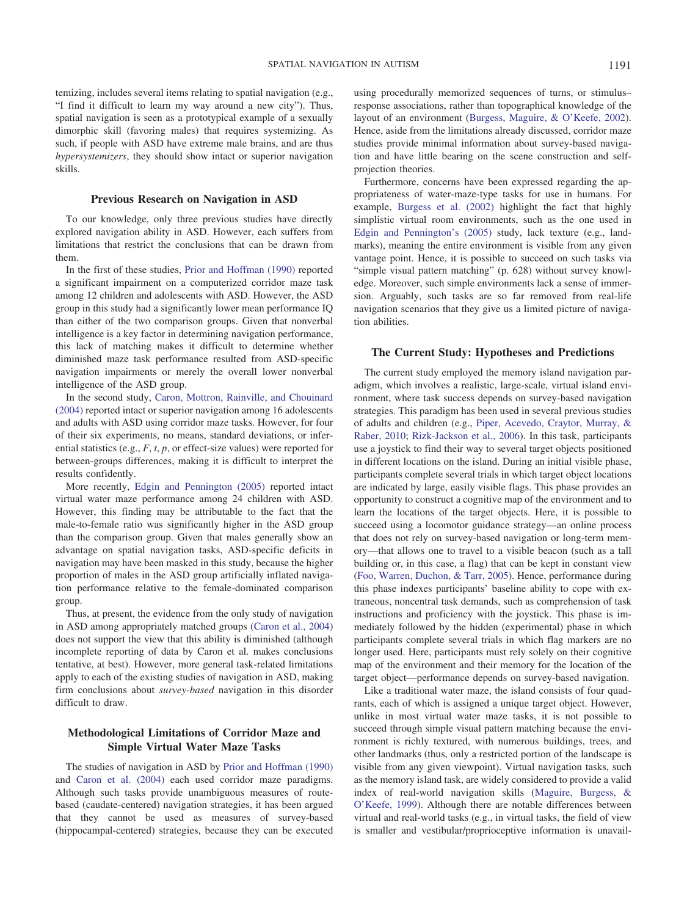temizing, includes several items relating to spatial navigation (e.g., "I find it difficult to learn my way around a new city"). Thus, spatial navigation is seen as a prototypical example of a sexually dimorphic skill (favoring males) that requires systemizing. As such, if people with ASD have extreme male brains, and are thus *hypersystemizers*, they should show intact or superior navigation skills.

#### **Previous Research on Navigation in ASD**

To our knowledge, only three previous studies have directly explored navigation ability in ASD. However, each suffers from limitations that restrict the conclusions that can be drawn from them.

In the first of these studies, [Prior and Hoffman \(1990\)](#page-9-16) reported a significant impairment on a computerized corridor maze task among 12 children and adolescents with ASD. However, the ASD group in this study had a significantly lower mean performance IQ than either of the two comparison groups. Given that nonverbal intelligence is a key factor in determining navigation performance, this lack of matching makes it difficult to determine whether diminished maze task performance resulted from ASD-specific navigation impairments or merely the overall lower nonverbal intelligence of the ASD group.

In the second study, [Caron, Mottron, Rainville, and Chouinard](#page-9-0) [\(2004\)](#page-9-0) reported intact or superior navigation among 16 adolescents and adults with ASD using corridor maze tasks. However, for four of their six experiments, no means, standard deviations, or inferential statistics (e.g., *F*, *t*, *p*, or effect-size values) were reported for between-groups differences, making it is difficult to interpret the results confidently.

More recently, [Edgin and Pennington \(2005\)](#page-9-17) reported intact virtual water maze performance among 24 children with ASD. However, this finding may be attributable to the fact that the male-to-female ratio was significantly higher in the ASD group than the comparison group. Given that males generally show an advantage on spatial navigation tasks, ASD-specific deficits in navigation may have been masked in this study, because the higher proportion of males in the ASD group artificially inflated navigation performance relative to the female-dominated comparison group.

<span id="page-3-0"></span>Thus, at present, the evidence from the only study of navigation in ASD among appropriately matched groups [\(Caron et al., 2004\)](#page-9-0) does not support the view that this ability is diminished (although incomplete reporting of data by Caron et al. makes conclusions tentative, at best). However, more general task-related limitations apply to each of the existing studies of navigation in ASD, making firm conclusions about *survey-based* navigation in this disorder difficult to draw.

#### **Methodological Limitations of Corridor Maze and Simple Virtual Water Maze Tasks**

The studies of navigation in ASD by [Prior and Hoffman \(1990\)](#page-9-16) and [Caron et al. \(2004\)](#page-9-0) each used corridor maze paradigms. Although such tasks provide unambiguous measures of routebased (caudate-centered) navigation strategies, it has been argued that they cannot be used as measures of survey-based (hippocampal-centered) strategies, because they can be executed using procedurally memorized sequences of turns, or stimulus– response associations, rather than topographical knowledge of the layout of an environment [\(Burgess, Maguire, & O'Keefe, 2002\)](#page-9-18). Hence, aside from the limitations already discussed, corridor maze studies provide minimal information about survey-based navigation and have little bearing on the scene construction and selfprojection theories.

Furthermore, concerns have been expressed regarding the appropriateness of water-maze-type tasks for use in humans. For example, [Burgess et al. \(2002\)](#page-9-18) highlight the fact that highly simplistic virtual room environments, such as the one used in [Edgin and Pennington's \(2005\)](#page-9-17) study, lack texture (e.g., landmarks), meaning the entire environment is visible from any given vantage point. Hence, it is possible to succeed on such tasks via "simple visual pattern matching" (p. 628) without survey knowledge. Moreover, such simple environments lack a sense of immersion. Arguably, such tasks are so far removed from real-life navigation scenarios that they give us a limited picture of navigation abilities.

#### **The Current Study: Hypotheses and Predictions**

The current study employed the memory island navigation paradigm, which involves a realistic, large-scale, virtual island environment, where task success depends on survey-based navigation strategies. This paradigm has been used in several previous studies of adults and children (e.g., [Piper, Acevedo, Craytor, Murray, &](#page-9-19) [Raber, 2010;](#page-9-19) [Rizk-Jackson et al., 2006\)](#page-9-20). In this task, participants use a joystick to find their way to several target objects positioned in different locations on the island. During an initial visible phase, participants complete several trials in which target object locations are indicated by large, easily visible flags. This phase provides an opportunity to construct a cognitive map of the environment and to learn the locations of the target objects. Here, it is possible to succeed using a locomotor guidance strategy—an online process that does not rely on survey-based navigation or long-term memory—that allows one to travel to a visible beacon (such as a tall building or, in this case, a flag) that can be kept in constant view [\(Foo, Warren, Duchon, & Tarr, 2005\)](#page-9-21). Hence, performance during this phase indexes participants' baseline ability to cope with extraneous, noncentral task demands, such as comprehension of task instructions and proficiency with the joystick. This phase is immediately followed by the hidden (experimental) phase in which participants complete several trials in which flag markers are no longer used. Here, participants must rely solely on their cognitive map of the environment and their memory for the location of the target object—performance depends on survey-based navigation.

Like a traditional water maze, the island consists of four quadrants, each of which is assigned a unique target object. However, unlike in most virtual water maze tasks, it is not possible to succeed through simple visual pattern matching because the environment is richly textured, with numerous buildings, trees, and other landmarks (thus, only a restricted portion of the landscape is visible from any given viewpoint). Virtual navigation tasks, such as the memory island task, are widely considered to provide a valid index of real-world navigation skills [\(Maguire, Burgess, &](#page-9-22) [O'Keefe, 1999\)](#page-9-22). Although there are notable differences between virtual and real-world tasks (e.g., in virtual tasks, the field of view is smaller and vestibular/proprioceptive information is unavail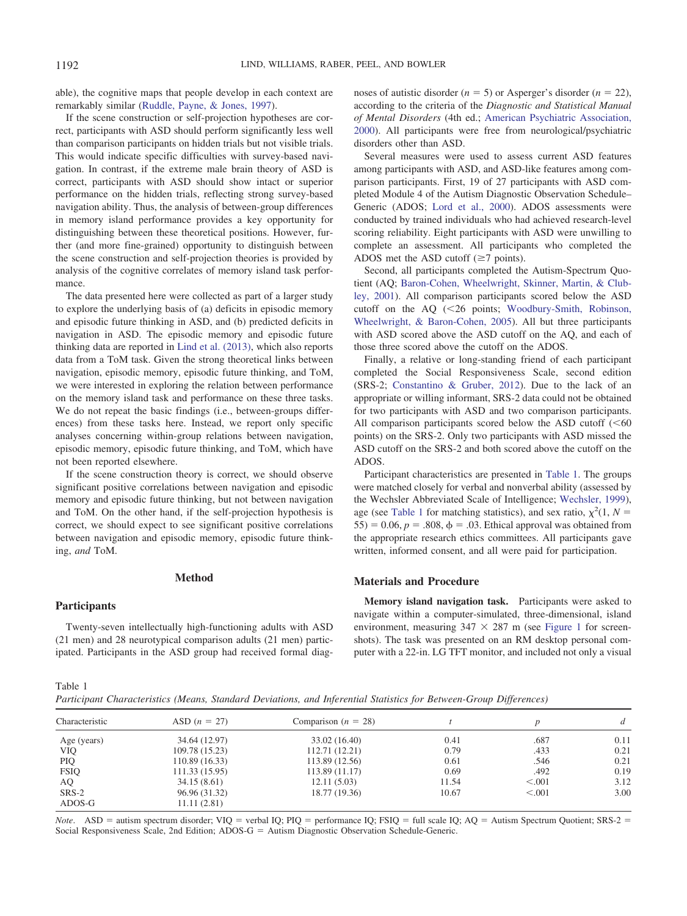able), the cognitive maps that people develop in each context are remarkably similar [\(Ruddle, Payne, & Jones, 1997\)](#page-9-23).

If the scene construction or self-projection hypotheses are correct, participants with ASD should perform significantly less well than comparison participants on hidden trials but not visible trials. This would indicate specific difficulties with survey-based navigation. In contrast, if the extreme male brain theory of ASD is correct, participants with ASD should show intact or superior performance on the hidden trials, reflecting strong survey-based navigation ability. Thus, the analysis of between-group differences in memory island performance provides a key opportunity for distinguishing between these theoretical positions. However, further (and more fine-grained) opportunity to distinguish between the scene construction and self-projection theories is provided by analysis of the cognitive correlates of memory island task performance.

The data presented here were collected as part of a larger study to explore the underlying basis of (a) deficits in episodic memory and episodic future thinking in ASD, and (b) predicted deficits in navigation in ASD. The episodic memory and episodic future thinking data are reported in [Lind et al. \(2013\),](#page-9-8) which also reports data from a ToM task. Given the strong theoretical links between navigation, episodic memory, episodic future thinking, and ToM, we were interested in exploring the relation between performance on the memory island task and performance on these three tasks. We do not repeat the basic findings (i.e., between-groups differences) from these tasks here. Instead, we report only specific analyses concerning within-group relations between navigation, episodic memory, episodic future thinking, and ToM, which have not been reported elsewhere.

<span id="page-4-0"></span>If the scene construction theory is correct, we should observe significant positive correlations between navigation and episodic memory and episodic future thinking, but not between navigation and ToM. On the other hand, if the self-projection hypothesis is correct, we should expect to see significant positive correlations between navigation and episodic memory, episodic future thinking, *and* ToM.

#### **Method**

#### **Participants**

Twenty-seven intellectually high-functioning adults with ASD (21 men) and 28 neurotypical comparison adults (21 men) participated. Participants in the ASD group had received formal diagnoses of autistic disorder  $(n = 5)$  or Asperger's disorder  $(n = 22)$ , according to the criteria of the *Diagnostic and Statistical Manual of Mental Disorders* (4th ed.; [American Psychiatric Association,](#page-9-24) [2000\)](#page-9-24). All participants were free from neurological/psychiatric disorders other than ASD.

Several measures were used to assess current ASD features among participants with ASD, and ASD-like features among comparison participants. First, 19 of 27 participants with ASD completed Module 4 of the Autism Diagnostic Observation Schedule– Generic (ADOS; [Lord et al., 2000\)](#page-9-25). ADOS assessments were conducted by trained individuals who had achieved research-level scoring reliability. Eight participants with ASD were unwilling to complete an assessment. All participants who completed the ADOS met the ASD cutoff  $(\geq 7 \text{ points})$ .

Second, all participants completed the Autism-Spectrum Quotient (AQ; [Baron-Cohen, Wheelwright, Skinner, Martin, & Club](#page-9-26)[ley, 2001\)](#page-9-26). All comparison participants scored below the ASD cutoff on the  $AQ$  (<26 points; [Woodbury-Smith, Robinson,](#page-10-4) [Wheelwright, & Baron-Cohen, 2005\)](#page-10-4). All but three participants with ASD scored above the ASD cutoff on the AQ, and each of those three scored above the cutoff on the ADOS.

Finally, a relative or long-standing friend of each participant completed the Social Responsiveness Scale, second edition (SRS-2; [Constantino & Gruber, 2012\)](#page-9-27). Due to the lack of an appropriate or willing informant, SRS-2 data could not be obtained for two participants with ASD and two comparison participants. All comparison participants scored below the ASD cutoff  $(<$ 60 points) on the SRS-2. Only two participants with ASD missed the ASD cutoff on the SRS-2 and both scored above the cutoff on the ADOS.

Participant characteristics are presented in [Table 1.](#page-3-0) The groups were matched closely for verbal and nonverbal ability (assessed by the Wechsler Abbreviated Scale of Intelligence; [Wechsler, 1999\)](#page-10-5), age (see [Table 1](#page-3-0) for matching statistics), and sex ratio,  $\chi^2(1, N =$  $55$ ) = 0.06,  $p = .808$ ,  $\phi = .03$ . Ethical approval was obtained from the appropriate research ethics committees. All participants gave written, informed consent, and all were paid for participation.

#### **Materials and Procedure**

**Memory island navigation task.** Participants were asked to navigate within a computer-simulated, three-dimensional, island environment, measuring  $347 \times 287$  m (see [Figure 1](#page-4-0) for screenshots). The task was presented on an RM desktop personal computer with a 22-in. LG TFT monitor, and included not only a visual

Table 1

| Participant Characteristics (Means, Standard Deviations, and Inferential Statistics for Between-Group Differences) |  |  |  |  |  |  |
|--------------------------------------------------------------------------------------------------------------------|--|--|--|--|--|--|
|                                                                                                                    |  |  |  |  |  |  |

| Characteristic | $ASD (n = 27)$ | Comparison $(n = 28)$ |       |         | d    |  |
|----------------|----------------|-----------------------|-------|---------|------|--|
| Age (years)    | 34.64 (12.97)  | 33.02 (16.40)         | 0.41  | .687    | 0.11 |  |
| <b>VIQ</b>     | 109.78 (15.23) | 112.71 (12.21)        | 0.79  | .433    | 0.21 |  |
| PIQ            | 110.89(16.33)  | 113.89 (12.56)        | 0.61  | .546    | 0.21 |  |
| <b>FSIQ</b>    | 111.33(15.95)  | 113.89(11.17)         | 0.69  | .492    | 0.19 |  |
| AQ             | 34.15(8.61)    | 12.11(5.03)           | 11.54 | < 0.001 | 3.12 |  |
| $SRS-2$        | 96.96 (31.32)  | 18.77 (19.36)         | 10.67 | < 0.001 | 3.00 |  |
| ADOS-G         | 11.11(2.81)    |                       |       |         |      |  |

*Note*. ASD = autism spectrum disorder; VIQ = verbal IQ; PIQ = performance IQ; FSIQ = full scale IQ; AQ = Autism Spectrum Quotient; SRS-2 = Social Responsiveness Scale, 2nd Edition;  $ADOS-G =$  Autism Diagnostic Observation Schedule-Generic.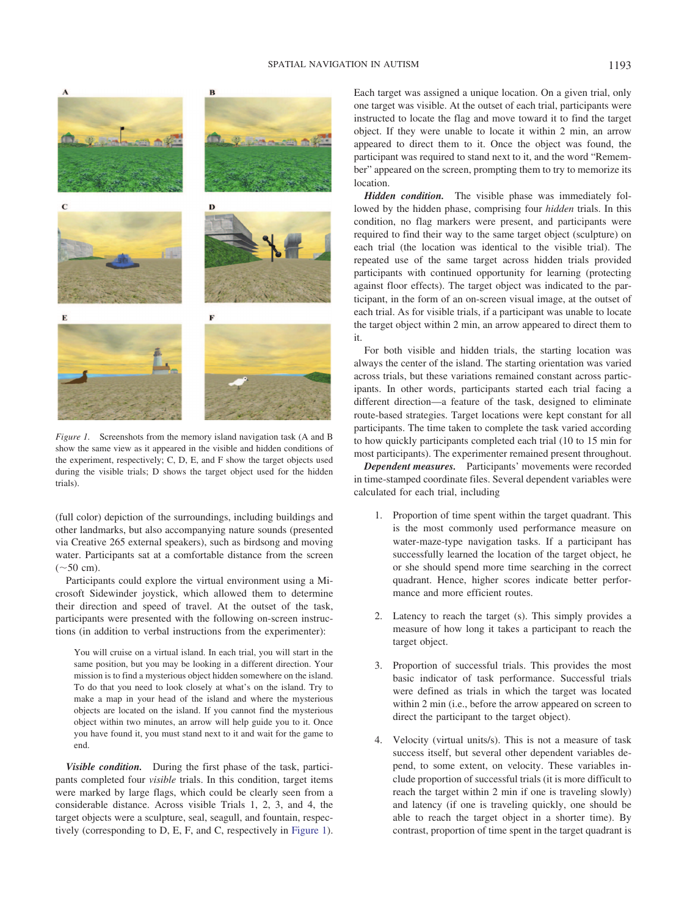

*Figure 1.* Screenshots from the memory island navigation task (A and B show the same view as it appeared in the visible and hidden conditions of the experiment, respectively; C, D, E, and F show the target objects used during the visible trials; D shows the target object used for the hidden trials).

(full color) depiction of the surroundings, including buildings and other landmarks, but also accompanying nature sounds (presented via Creative 265 external speakers), such as birdsong and moving water. Participants sat at a comfortable distance from the screen  $({\sim}50 \text{ cm}).$ 

Participants could explore the virtual environment using a Microsoft Sidewinder joystick, which allowed them to determine their direction and speed of travel. At the outset of the task, participants were presented with the following on-screen instructions (in addition to verbal instructions from the experimenter):

You will cruise on a virtual island. In each trial, you will start in the same position, but you may be looking in a different direction. Your mission is to find a mysterious object hidden somewhere on the island. To do that you need to look closely at what's on the island. Try to make a map in your head of the island and where the mysterious objects are located on the island. If you cannot find the mysterious object within two minutes, an arrow will help guide you to it. Once you have found it, you must stand next to it and wait for the game to end.

*Visible condition.* During the first phase of the task, participants completed four *visible* trials. In this condition, target items were marked by large flags, which could be clearly seen from a considerable distance. Across visible Trials 1, 2, 3, and 4, the target objects were a sculpture, seal, seagull, and fountain, respectively (corresponding to D, E, F, and C, respectively in [Figure 1\)](#page-4-0). Each target was assigned a unique location. On a given trial, only one target was visible. At the outset of each trial, participants were instructed to locate the flag and move toward it to find the target object. If they were unable to locate it within 2 min, an arrow appeared to direct them to it. Once the object was found, the participant was required to stand next to it, and the word "Remember" appeared on the screen, prompting them to try to memorize its location.

*Hidden condition.* The visible phase was immediately followed by the hidden phase, comprising four *hidden* trials. In this condition, no flag markers were present, and participants were required to find their way to the same target object (sculpture) on each trial (the location was identical to the visible trial). The repeated use of the same target across hidden trials provided participants with continued opportunity for learning (protecting against floor effects). The target object was indicated to the participant, in the form of an on-screen visual image, at the outset of each trial. As for visible trials, if a participant was unable to locate the target object within 2 min, an arrow appeared to direct them to it.

For both visible and hidden trials, the starting location was always the center of the island. The starting orientation was varied across trials, but these variations remained constant across participants. In other words, participants started each trial facing a different direction—a feature of the task, designed to eliminate route-based strategies. Target locations were kept constant for all participants. The time taken to complete the task varied according to how quickly participants completed each trial (10 to 15 min for most participants). The experimenter remained present throughout.

*Dependent measures.* Participants' movements were recorded in time-stamped coordinate files. Several dependent variables were calculated for each trial, including

- 1. Proportion of time spent within the target quadrant. This is the most commonly used performance measure on water-maze-type navigation tasks. If a participant has successfully learned the location of the target object, he or she should spend more time searching in the correct quadrant. Hence, higher scores indicate better performance and more efficient routes.
- 2. Latency to reach the target (s). This simply provides a measure of how long it takes a participant to reach the target object.
- 3. Proportion of successful trials. This provides the most basic indicator of task performance. Successful trials were defined as trials in which the target was located within 2 min (i.e., before the arrow appeared on screen to direct the participant to the target object).
- <span id="page-5-0"></span>4. Velocity (virtual units/s). This is not a measure of task success itself, but several other dependent variables depend, to some extent, on velocity. These variables include proportion of successful trials (it is more difficult to reach the target within 2 min if one is traveling slowly) and latency (if one is traveling quickly, one should be able to reach the target object in a shorter time). By contrast, proportion of time spent in the target quadrant is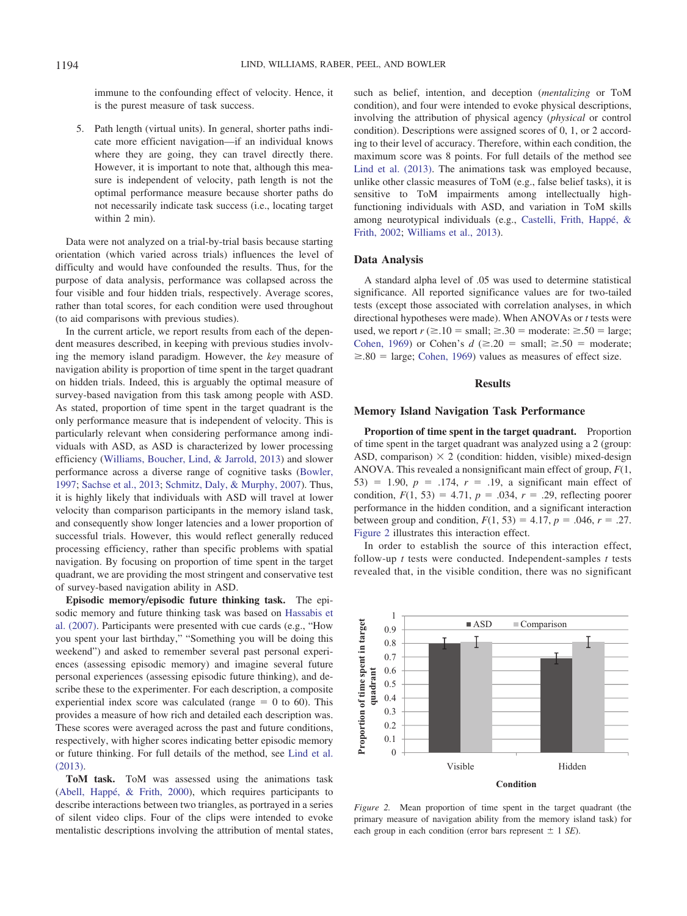immune to the confounding effect of velocity. Hence, it is the purest measure of task success.

5. Path length (virtual units). In general, shorter paths indicate more efficient navigation—if an individual knows where they are going, they can travel directly there. However, it is important to note that, although this measure is independent of velocity, path length is not the optimal performance measure because shorter paths do not necessarily indicate task success (i.e., locating target within 2 min).

Data were not analyzed on a trial-by-trial basis because starting orientation (which varied across trials) influences the level of difficulty and would have confounded the results. Thus, for the purpose of data analysis, performance was collapsed across the four visible and four hidden trials, respectively. Average scores, rather than total scores, for each condition were used throughout (to aid comparisons with previous studies).

In the current article, we report results from each of the dependent measures described, in keeping with previous studies involving the memory island paradigm. However, the *key* measure of navigation ability is proportion of time spent in the target quadrant on hidden trials. Indeed, this is arguably the optimal measure of survey-based navigation from this task among people with ASD. As stated, proportion of time spent in the target quadrant is the only performance measure that is independent of velocity. This is particularly relevant when considering performance among individuals with ASD, as ASD is characterized by lower processing efficiency [\(Williams, Boucher, Lind, & Jarrold, 2013\)](#page-10-6) and slower performance across a diverse range of cognitive tasks [\(Bowler,](#page-9-28) [1997;](#page-9-28) [Sachse et al., 2013;](#page-10-7) [Schmitz, Daly, & Murphy, 2007\)](#page-10-8). Thus, it is highly likely that individuals with ASD will travel at lower velocity than comparison participants in the memory island task, and consequently show longer latencies and a lower proportion of successful trials. However, this would reflect generally reduced processing efficiency, rather than specific problems with spatial navigation. By focusing on proportion of time spent in the target quadrant, we are providing the most stringent and conservative test of survey-based navigation ability in ASD.

<span id="page-6-0"></span>**Episodic memory/episodic future thinking task.** The episodic memory and future thinking task was based on [Hassabis et](#page-9-3) [al. \(2007\).](#page-9-3) Participants were presented with cue cards (e.g., "How you spent your last birthday," "Something you will be doing this weekend") and asked to remember several past personal experiences (assessing episodic memory) and imagine several future personal experiences (assessing episodic future thinking), and describe these to the experimenter. For each description, a composite experiential index score was calculated (range  $= 0$  to 60). This provides a measure of how rich and detailed each description was. These scores were averaged across the past and future conditions, respectively, with higher scores indicating better episodic memory or future thinking. For full details of the method, see [Lind et al.](#page-9-8) [\(2013\).](#page-9-8)

**ToM task.** ToM was assessed using the animations task [\(Abell, Happé, & Frith, 2000\)](#page-9-29), which requires participants to describe interactions between two triangles, as portrayed in a series of silent video clips. Four of the clips were intended to evoke mentalistic descriptions involving the attribution of mental states, such as belief, intention, and deception (*mentalizing* or ToM condition), and four were intended to evoke physical descriptions, involving the attribution of physical agency (*physical* or control condition). Descriptions were assigned scores of 0, 1, or 2 according to their level of accuracy. Therefore, within each condition, the maximum score was 8 points. For full details of the method see [Lind et al. \(2013\).](#page-9-8) The animations task was employed because, unlike other classic measures of ToM (e.g., false belief tasks), it is sensitive to ToM impairments among intellectually highfunctioning individuals with ASD, and variation in ToM skills among neurotypical individuals (e.g., [Castelli, Frith, Happé, &](#page-9-30) [Frith, 2002;](#page-9-30) [Williams et al., 2013\)](#page-10-6).

#### **Data Analysis**

A standard alpha level of .05 was used to determine statistical significance. All reported significance values are for two-tailed tests (except those associated with correlation analyses, in which directional hypotheses were made). When ANOVAs or *t* tests were used, we report  $r \geq 0.10 = \text{small}; \geq 0.30 = \text{moderate}; \geq 0.50 = \text{large};$ [Cohen, 1969\)](#page-9-31) or Cohen's  $d \approx 20 = \text{small}; \geq .50 = \text{moderate};$  $\geq 0.80$  = large; [Cohen, 1969\)](#page-9-31) values as measures of effect size.

#### **Results**

#### **Memory Island Navigation Task Performance**

**Proportion of time spent in the target quadrant.** Proportion of time spent in the target quadrant was analyzed using a 2 (group: ASD, comparison)  $\times$  2 (condition: hidden, visible) mixed-design ANOVA. This revealed a nonsignificant main effect of group, *F*(1, 53) = 1.90,  $p = .174$ ,  $r = .19$ , a significant main effect of condition,  $F(1, 53) = 4.71$ ,  $p = .034$ ,  $r = .29$ , reflecting poorer performance in the hidden condition, and a significant interaction between group and condition,  $F(1, 53) = 4.17$ ,  $p = .046$ ,  $r = .27$ . [Figure 2](#page-5-0) illustrates this interaction effect.

In order to establish the source of this interaction effect, follow-up *t* tests were conducted. Independent-samples *t* tests revealed that, in the visible condition, there was no significant



*Figure 2.* Mean proportion of time spent in the target quadrant (the primary measure of navigation ability from the memory island task) for each group in each condition (error bars represent  $\pm$  1 *SE*).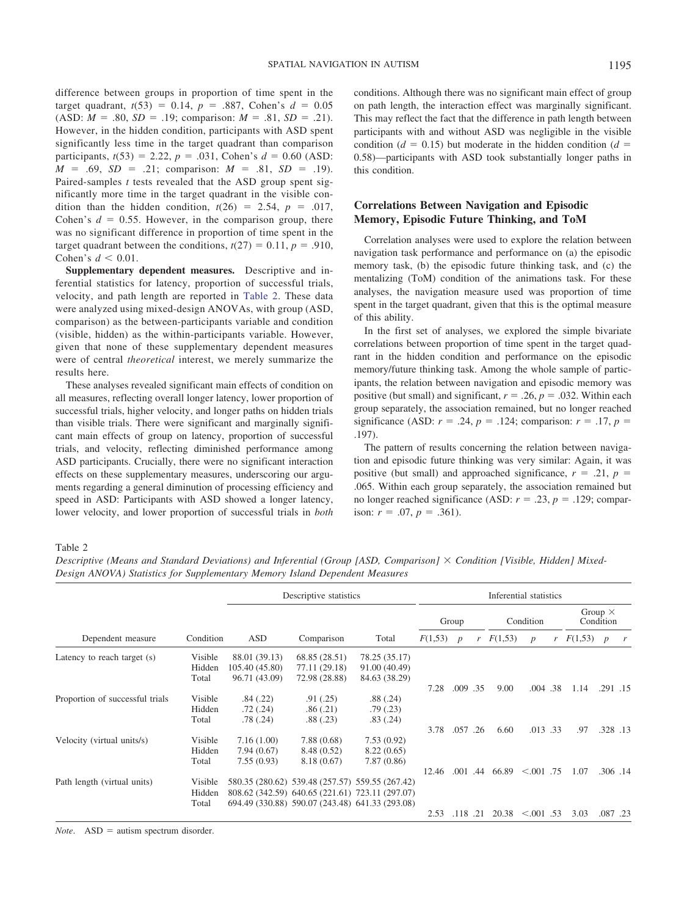difference between groups in proportion of time spent in the target quadrant,  $t(53) = 0.14$ ,  $p = .887$ , Cohen's  $d = 0.05$  $(ASD: M = .80, SD = .19; comparison: M = .81, SD = .21).$ However, in the hidden condition, participants with ASD spent significantly less time in the target quadrant than comparison participants,  $t(53) = 2.22$ ,  $p = .031$ , Cohen's  $d = 0.60$  (ASD:  $M = .69$ ,  $SD = .21$ ; comparison:  $M = .81$ ,  $SD = .19$ ). Paired-samples *t* tests revealed that the ASD group spent significantly more time in the target quadrant in the visible condition than the hidden condition,  $t(26) = 2.54$ ,  $p = .017$ , Cohen's  $d = 0.55$ . However, in the comparison group, there was no significant difference in proportion of time spent in the target quadrant between the conditions,  $t(27) = 0.11$ ,  $p = .910$ , Cohen's  $d \leq 0.01$ .

**Supplementary dependent measures.** Descriptive and inferential statistics for latency, proportion of successful trials, velocity, and path length are reported in [Table 2.](#page-6-0) These data were analyzed using mixed-design ANOVAs, with group (ASD, comparison) as the between-participants variable and condition (visible, hidden) as the within-participants variable. However, given that none of these supplementary dependent measures were of central *theoretical* interest, we merely summarize the results here.

These analyses revealed significant main effects of condition on all measures, reflecting overall longer latency, lower proportion of successful trials, higher velocity, and longer paths on hidden trials than visible trials. There were significant and marginally significant main effects of group on latency, proportion of successful trials, and velocity, reflecting diminished performance among ASD participants. Crucially, there were no significant interaction effects on these supplementary measures, underscoring our arguments regarding a general diminution of processing efficiency and speed in ASD: Participants with ASD showed a longer latency, lower velocity, and lower proportion of successful trials in *both* conditions. Although there was no significant main effect of group on path length, the interaction effect was marginally significant. This may reflect the fact that the difference in path length between participants with and without ASD was negligible in the visible condition ( $d = 0.15$ ) but moderate in the hidden condition ( $d =$ 0.58)—participants with ASD took substantially longer paths in this condition.

#### **Correlations Between Navigation and Episodic Memory, Episodic Future Thinking, and ToM**

Correlation analyses were used to explore the relation between navigation task performance and performance on (a) the episodic memory task, (b) the episodic future thinking task, and (c) the mentalizing (ToM) condition of the animations task. For these analyses, the navigation measure used was proportion of time spent in the target quadrant, given that this is the optimal measure of this ability.

In the first set of analyses, we explored the simple bivariate correlations between proportion of time spent in the target quadrant in the hidden condition and performance on the episodic memory/future thinking task. Among the whole sample of participants, the relation between navigation and episodic memory was positive (but small) and significant,  $r = .26$ ,  $p = .032$ . Within each group separately, the association remained, but no longer reached significance (ASD:  $r = .24$ ,  $p = .124$ ; comparison:  $r = .17$ ,  $p =$ .197).

The pattern of results concerning the relation between navigation and episodic future thinking was very similar: Again, it was positive (but small) and approached significance,  $r = .21$ ,  $p =$ .065. Within each group separately, the association remained but no longer reached significance (ASD:  $r = .23$ ,  $p = .129$ ; comparison:  $r = .07$ ,  $p = .361$ ).

#### Table 2

*Descriptive (Means and Standard Deviations) and Inferential (Group [ASD, Comparison] Condition [Visible, Hidden] Mixed-Design ANOVA) Statistics for Supplementary Memory Island Dependent Measures*

|                                 |           |                | Descriptive statistics |                                                 | Inferential statistics |                  |     |           |                  |   |                             |                  |         |
|---------------------------------|-----------|----------------|------------------------|-------------------------------------------------|------------------------|------------------|-----|-----------|------------------|---|-----------------------------|------------------|---------|
|                                 |           | ASD            | Comparison             | Total                                           | Group                  |                  |     | Condition |                  |   | Group $\times$<br>Condition |                  |         |
| Dependent measure               | Condition |                |                        |                                                 | F(1,53)                | $\boldsymbol{p}$ | r   | F(1,53)   | $\boldsymbol{p}$ | r | F(1,53)                     | $\boldsymbol{p}$ | r       |
| Latency to reach target (s)     | Visible   | 88.01 (39.13)  | 68.85 (28.51)          | 78.25 (35.17)                                   |                        |                  |     |           |                  |   |                             |                  |         |
|                                 | Hidden    | 105.40 (45.80) | 77.11 (29.18)          | 91.00 (40.49)                                   |                        |                  |     |           |                  |   |                             |                  |         |
|                                 | Total     | 96.71 (43.09)  | 72.98 (28.88)          | 84.63 (38.29)                                   |                        |                  |     |           |                  |   |                             |                  |         |
|                                 |           |                |                        |                                                 | 7.28                   | .009 .35         |     | 9.00      | .004 .38         |   | 1.14                        |                  | .291.15 |
| Proportion of successful trials | Visible   | .84(.22)       | .91(.25)               | .88(.24)                                        |                        |                  |     |           |                  |   |                             |                  |         |
|                                 | Hidden    | .72(.24)       | .86(.21)               | .79(0.23)                                       |                        |                  |     |           |                  |   |                             |                  |         |
|                                 | Total     | .78 (.24)      | .88(.23)               | .83(.24)                                        |                        |                  |     |           |                  |   |                             |                  |         |
|                                 |           |                |                        |                                                 | 3.78                   | .057.26          |     | 6.60      | .013 .33         |   | .97                         |                  | .328.13 |
| Velocity (virtual units/s)      | Visible   | 7.16(1.00)     | 7.88(0.68)             | 7.53(0.92)                                      |                        |                  |     |           |                  |   |                             |                  |         |
|                                 | Hidden    | 7.94(0.67)     | 8.48 (0.52)            | 8.22(0.65)                                      |                        |                  |     |           |                  |   |                             |                  |         |
|                                 | Total     | 7.55(0.93)     | 8.18(0.67)             | 7.87(0.86)                                      |                        |                  |     |           |                  |   |                             |                  |         |
|                                 |           |                |                        |                                                 | 12.46                  | $.001$ .44       |     | 66.89     | $< 0.001$ .75    |   | 1.07                        |                  | .306.14 |
| Path length (virtual units)     | Visible   |                |                        | 580.35 (280.62) 539.48 (257.57) 559.55 (267.42) |                        |                  |     |           |                  |   |                             |                  |         |
|                                 | Hidden    |                |                        | 808.62 (342.59) 640.65 (221.61) 723.11 (297.07) |                        |                  |     |           |                  |   |                             |                  |         |
|                                 | Total     |                |                        | 694.49 (330.88) 590.07 (243.48) 641.33 (293.08) |                        |                  |     |           |                  |   |                             |                  |         |
|                                 |           |                |                        |                                                 | 2.53                   | .118             | .21 | 20.38     | $< 0.001$ .53    |   | 3.03                        |                  | .087.23 |

 $Note. ASD = autism spectrum disorder.$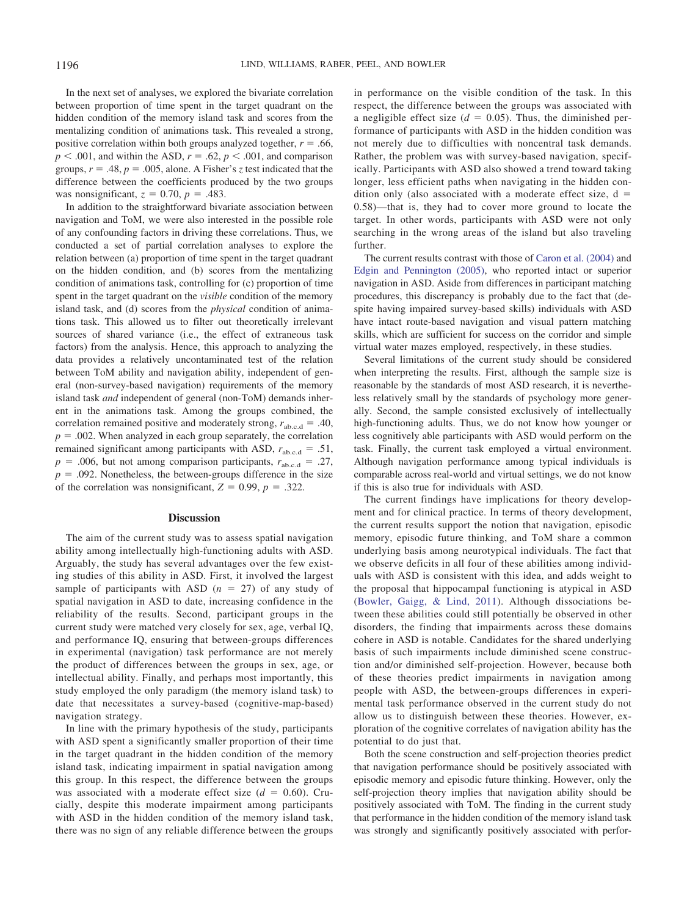In the next set of analyses, we explored the bivariate correlation between proportion of time spent in the target quadrant on the hidden condition of the memory island task and scores from the mentalizing condition of animations task. This revealed a strong, positive correlation within both groups analyzed together,  $r = .66$ ,  $p < .001$ , and within the ASD,  $r = .62$ ,  $p < .001$ , and comparison groups,  $r = .48$ ,  $p = .005$ , alone. A Fisher's *z* test indicated that the difference between the coefficients produced by the two groups was nonsignificant,  $z = 0.70$ ,  $p = .483$ .

In addition to the straightforward bivariate association between navigation and ToM, we were also interested in the possible role of any confounding factors in driving these correlations. Thus, we conducted a set of partial correlation analyses to explore the relation between (a) proportion of time spent in the target quadrant on the hidden condition, and (b) scores from the mentalizing condition of animations task, controlling for (c) proportion of time spent in the target quadrant on the *visible* condition of the memory island task, and (d) scores from the *physical* condition of animations task. This allowed us to filter out theoretically irrelevant sources of shared variance (i.e., the effect of extraneous task factors) from the analysis. Hence, this approach to analyzing the data provides a relatively uncontaminated test of the relation between ToM ability and navigation ability, independent of general (non-survey-based navigation) requirements of the memory island task *and* independent of general (non-ToM) demands inherent in the animations task. Among the groups combined, the correlation remained positive and moderately strong,  $r_{abc, d} = .40$ ,  $p = .002$ . When analyzed in each group separately, the correlation remained significant among participants with ASD,  $r_{\text{ab.c.d}} = .51$ ,  $p = .006$ , but not among comparison participants,  $r_{abc, d} = .27$ ,  $p = .092$ . Nonetheless, the between-groups difference in the size of the correlation was nonsignificant,  $Z = 0.99$ ,  $p = .322$ .

#### **Discussion**

The aim of the current study was to assess spatial navigation ability among intellectually high-functioning adults with ASD. Arguably, the study has several advantages over the few existing studies of this ability in ASD. First, it involved the largest sample of participants with ASD  $(n = 27)$  of any study of spatial navigation in ASD to date, increasing confidence in the reliability of the results. Second, participant groups in the current study were matched very closely for sex, age, verbal IQ, and performance IQ, ensuring that between-groups differences in experimental (navigation) task performance are not merely the product of differences between the groups in sex, age, or intellectual ability. Finally, and perhaps most importantly, this study employed the only paradigm (the memory island task) to date that necessitates a survey-based (cognitive-map-based) navigation strategy.

In line with the primary hypothesis of the study, participants with ASD spent a significantly smaller proportion of their time in the target quadrant in the hidden condition of the memory island task, indicating impairment in spatial navigation among this group. In this respect, the difference between the groups was associated with a moderate effect size  $(d = 0.60)$ . Crucially, despite this moderate impairment among participants with ASD in the hidden condition of the memory island task, there was no sign of any reliable difference between the groups in performance on the visible condition of the task. In this respect, the difference between the groups was associated with a negligible effect size  $(d = 0.05)$ . Thus, the diminished performance of participants with ASD in the hidden condition was not merely due to difficulties with noncentral task demands. Rather, the problem was with survey-based navigation, specifically. Participants with ASD also showed a trend toward taking longer, less efficient paths when navigating in the hidden condition only (also associated with a moderate effect size,  $d =$ 0.58)—that is, they had to cover more ground to locate the target. In other words, participants with ASD were not only searching in the wrong areas of the island but also traveling further.

The current results contrast with those of [Caron et al. \(2004\)](#page-9-0) and [Edgin and Pennington \(2005\),](#page-9-17) who reported intact or superior navigation in ASD. Aside from differences in participant matching procedures, this discrepancy is probably due to the fact that (despite having impaired survey-based skills) individuals with ASD have intact route-based navigation and visual pattern matching skills, which are sufficient for success on the corridor and simple virtual water mazes employed, respectively, in these studies.

Several limitations of the current study should be considered when interpreting the results. First, although the sample size is reasonable by the standards of most ASD research, it is nevertheless relatively small by the standards of psychology more generally. Second, the sample consisted exclusively of intellectually high-functioning adults. Thus, we do not know how younger or less cognitively able participants with ASD would perform on the task. Finally, the current task employed a virtual environment. Although navigation performance among typical individuals is comparable across real-world and virtual settings, we do not know if this is also true for individuals with ASD.

The current findings have implications for theory development and for clinical practice. In terms of theory development, the current results support the notion that navigation, episodic memory, episodic future thinking, and ToM share a common underlying basis among neurotypical individuals. The fact that we observe deficits in all four of these abilities among individuals with ASD is consistent with this idea, and adds weight to the proposal that hippocampal functioning is atypical in ASD [\(Bowler, Gaigg, & Lind, 2011\)](#page-9-32). Although dissociations between these abilities could still potentially be observed in other disorders, the finding that impairments across these domains cohere in ASD is notable. Candidates for the shared underlying basis of such impairments include diminished scene construction and/or diminished self-projection. However, because both of these theories predict impairments in navigation among people with ASD, the between-groups differences in experimental task performance observed in the current study do not allow us to distinguish between these theories. However, exploration of the cognitive correlates of navigation ability has the potential to do just that.

Both the scene construction and self-projection theories predict that navigation performance should be positively associated with episodic memory and episodic future thinking. However, only the self-projection theory implies that navigation ability should be positively associated with ToM. The finding in the current study that performance in the hidden condition of the memory island task was strongly and significantly positively associated with perfor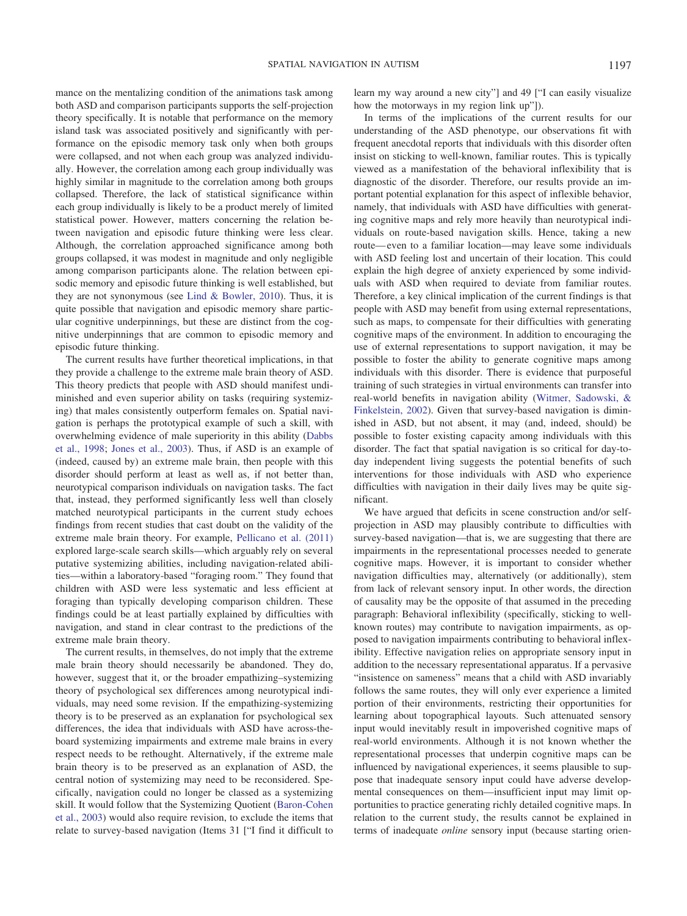<span id="page-9-29"></span><span id="page-9-23"></span>mance on the mentalizing condition of the animations task among both ASD and comparison participants supports the self-projection theory specifically. It is notable that performance on the memory island task was associated positively and significantly with performance on the episodic memory task only when both groups were collapsed, and not when each group was analyzed individually. However, the correlation among each group individually was highly similar in magnitude to the correlation among both groups collapsed. Therefore, the lack of statistical significance within each group individually is likely to be a product merely of limited statistical power. However, matters concerning the relation between navigation and episodic future thinking were less clear. Although, the correlation approached significance among both groups collapsed, it was modest in magnitude and only negligible among comparison participants alone. The relation between episodic memory and episodic future thinking is well established, but they are not synonymous (see [Lind & Bowler, 2010\)](#page-9-6). Thus, it is quite possible that navigation and episodic memory share particular cognitive underpinnings, but these are distinct from the cognitive underpinnings that are common to episodic memory and episodic future thinking.

<span id="page-9-28"></span><span id="page-9-26"></span><span id="page-9-24"></span><span id="page-9-15"></span><span id="page-9-12"></span><span id="page-9-11"></span><span id="page-9-5"></span>The current results have further theoretical implications, in that they provide a challenge to the extreme male brain theory of ASD. This theory predicts that people with ASD should manifest undiminished and even superior ability on tasks (requiring systemizing) that males consistently outperform females on. Spatial navigation is perhaps the prototypical example of such a skill, with overwhelming evidence of male superiority in this ability [\(Dabbs](#page-9-13) [et al., 1998;](#page-9-13) [Jones et al., 2003\)](#page-9-14). Thus, if ASD is an example of (indeed, caused by) an extreme male brain, then people with this disorder should perform at least as well as, if not better than, neurotypical comparison individuals on navigation tasks. The fact that, instead, they performed significantly less well than closely matched neurotypical participants in the current study echoes findings from recent studies that cast doubt on the validity of the extreme male brain theory. For example, [Pellicano et al. \(2011\)](#page-9-33) explored large-scale search skills—which arguably rely on several putative systemizing abilities, including navigation-related abilities—within a laboratory-based "foraging room." They found that children with ASD were less systematic and less efficient at foraging than typically developing comparison children. These findings could be at least partially explained by difficulties with navigation, and stand in clear contrast to the predictions of the extreme male brain theory.

<span id="page-9-32"></span><span id="page-9-31"></span><span id="page-9-30"></span><span id="page-9-27"></span><span id="page-9-18"></span><span id="page-9-13"></span><span id="page-9-9"></span><span id="page-9-4"></span><span id="page-9-0"></span>The current results, in themselves, do not imply that the extreme male brain theory should necessarily be abandoned. They do, however, suggest that it, or the broader empathizing–systemizing theory of psychological sex differences among neurotypical individuals, may need some revision. If the empathizing-systemizing theory is to be preserved as an explanation for psychological sex differences, the idea that individuals with ASD have across-theboard systemizing impairments and extreme male brains in every respect needs to be rethought. Alternatively, if the extreme male brain theory is to be preserved as an explanation of ASD, the central notion of systemizing may need to be reconsidered. Specifically, navigation could no longer be classed as a systemizing skill. It would follow that the Systemizing Quotient [\(Baron-Cohen](#page-9-15) [et al., 2003\)](#page-9-15) would also require revision, to exclude the items that relate to survey-based navigation (Items 31 ["I find it difficult to learn my way around a new city"] and 49 ["I can easily visualize how the motorways in my region link up"]).

<span id="page-9-21"></span><span id="page-9-17"></span><span id="page-9-10"></span><span id="page-9-2"></span><span id="page-9-1"></span>In terms of the implications of the current results for our understanding of the ASD phenotype, our observations fit with frequent anecdotal reports that individuals with this disorder often insist on sticking to well-known, familiar routes. This is typically viewed as a manifestation of the behavioral inflexibility that is diagnostic of the disorder. Therefore, our results provide an important potential explanation for this aspect of inflexible behavior, namely, that individuals with ASD have difficulties with generating cognitive maps and rely more heavily than neurotypical individuals on route-based navigation skills. Hence, taking a new route—even to a familiar location—may leave some individuals with ASD feeling lost and uncertain of their location. This could explain the high degree of anxiety experienced by some individuals with ASD when required to deviate from familiar routes. Therefore, a key clinical implication of the current findings is that people with ASD may benefit from using external representations, such as maps, to compensate for their difficulties with generating cognitive maps of the environment. In addition to encouraging the use of external representations to support navigation, it may be possible to foster the ability to generate cognitive maps among individuals with this disorder. There is evidence that purposeful training of such strategies in virtual environments can transfer into real-world benefits in navigation ability [\(Witmer, Sadowski, &](#page-10-9) [Finkelstein, 2002\)](#page-10-9). Given that survey-based navigation is diminished in ASD, but not absent, it may (and, indeed, should) be possible to foster existing capacity among individuals with this disorder. The fact that spatial navigation is so critical for day-today independent living suggests the potential benefits of such interventions for those individuals with ASD who experience difficulties with navigation in their daily lives may be quite significant.

<span id="page-9-33"></span><span id="page-9-25"></span><span id="page-9-22"></span><span id="page-9-20"></span><span id="page-9-19"></span><span id="page-9-16"></span><span id="page-9-14"></span><span id="page-9-8"></span><span id="page-9-7"></span><span id="page-9-6"></span><span id="page-9-3"></span>We have argued that deficits in scene construction and/or selfprojection in ASD may plausibly contribute to difficulties with survey-based navigation—that is, we are suggesting that there are impairments in the representational processes needed to generate cognitive maps. However, it is important to consider whether navigation difficulties may, alternatively (or additionally), stem from lack of relevant sensory input. In other words, the direction of causality may be the opposite of that assumed in the preceding paragraph: Behavioral inflexibility (specifically, sticking to wellknown routes) may contribute to navigation impairments, as opposed to navigation impairments contributing to behavioral inflexibility. Effective navigation relies on appropriate sensory input in addition to the necessary representational apparatus. If a pervasive "insistence on sameness" means that a child with ASD invariably follows the same routes, they will only ever experience a limited portion of their environments, restricting their opportunities for learning about topographical layouts. Such attenuated sensory input would inevitably result in impoverished cognitive maps of real-world environments. Although it is not known whether the representational processes that underpin cognitive maps can be influenced by navigational experiences, it seems plausible to suppose that inadequate sensory input could have adverse developmental consequences on them—insufficient input may limit opportunities to practice generating richly detailed cognitive maps. In relation to the current study, the results cannot be explained in terms of inadequate *online* sensory input (because starting orien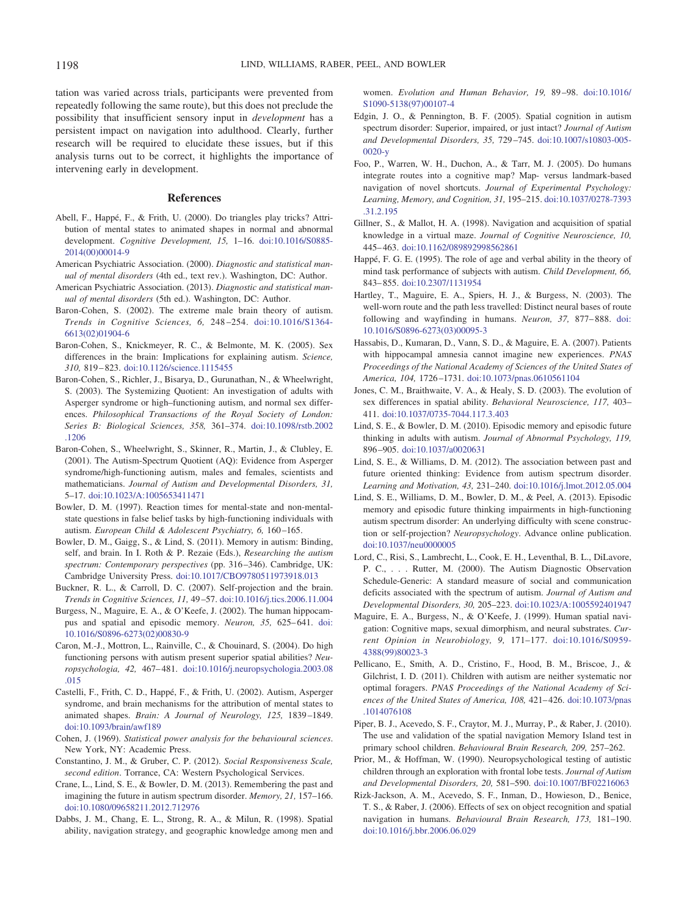<span id="page-10-7"></span>tation was varied across trials, participants were prevented from repeatedly following the same route), but this does not preclude the possibility that insufficient sensory input in *development* has a persistent impact on navigation into adulthood. Clearly, further research will be required to elucidate these issues, but if this analysis turns out to be correct, it highlights the importance of intervening early in development.

#### **References**

- <span id="page-10-8"></span><span id="page-10-3"></span>Abell, F., Happé, F., & Frith, U. (2000). Do triangles play tricks? Attribution of mental states to animated shapes in normal and abnormal development. *Cognitive Development, 15,* 1–16. [doi:10.1016/S0885-](http://dx.doi.org/10.1016/S0885-2014%2800%2900014-9) [2014\(00\)00014-9](http://dx.doi.org/10.1016/S0885-2014%2800%2900014-9)
- <span id="page-10-1"></span>American Psychiatric Association. (2000). *Diagnostic and statistical manual of mental disorders* (4th ed., text rev.). Washington, DC: Author.
- <span id="page-10-2"></span>American Psychiatric Association. (2013). *Diagnostic and statistical manual of mental disorders* (5th ed.). Washington, DC: Author.
- <span id="page-10-5"></span>Baron-Cohen, S. (2002). The extreme male brain theory of autism. *Trends in Cognitive Sciences, 6,* 248–254. [doi:10.1016/S1364-](http://dx.doi.org/10.1016/S1364-6613%2802%2901904-6) [6613\(02\)01904-6](http://dx.doi.org/10.1016/S1364-6613%2802%2901904-6)
- Baron-Cohen, S., Knickmeyer, R. C., & Belmonte, M. K. (2005). Sex differences in the brain: Implications for explaining autism. *Science, 310,* 819–823. [doi:10.1126/science.1115455](http://dx.doi.org/10.1126/science.1115455)
- Baron-Cohen, S., Richler, J., Bisarya, D., Gurunathan, N., & Wheelwright, S. (2003). The Systemizing Quotient: An investigation of adults with Asperger syndrome or high–functioning autism, and normal sex differences. *Philosophical Transactions of the Royal Society of London: Series B: Biological Sciences, 358,* 361–374. [doi:10.1098/rstb.2002](http://dx.doi.org/10.1098/rstb.2002.1206) [.1206](http://dx.doi.org/10.1098/rstb.2002.1206)
- Baron-Cohen, S., Wheelwright, S., Skinner, R., Martin, J., & Clubley, E. (2001). The Autism-Spectrum Quotient (AQ): Evidence from Asperger syndrome/high-functioning autism, males and females, scientists and mathematicians. *Journal of Autism and Developmental Disorders, 31,* 5–17. [doi:10.1023/A:1005653411471](http://dx.doi.org/10.1023/A:1005653411471)
- Bowler, D. M. (1997). Reaction times for mental-state and non-mentalstate questions in false belief tasks by high-functioning individuals with autism. *European Child & Adolescent Psychiatry, 6,* 160–165.
- Bowler, D. M., Gaigg, S., & Lind, S. (2011). Memory in autism: Binding, self, and brain. In I. Roth & P. Rezaie (Eds.), *Researching the autism spectrum: Contemporary perspectives* (pp. 316–346). Cambridge, UK: Cambridge University Press. [doi:10.1017/CBO9780511973918.013](http://dx.doi.org/10.1017/CBO9780511973918.013)
- Buckner, R. L., & Carroll, D. C. (2007). Self-projection and the brain. *Trends in Cognitive Sciences, 11,* 49–57. [doi:10.1016/j.tics.2006.11.004](http://dx.doi.org/10.1016/j.tics.2006.11.004)
- Burgess, N., Maguire, E. A., & O'Keefe, J. (2002). The human hippocampus and spatial and episodic memory. *Neuron, 35,* 625–641. [doi:](http://dx.doi.org/10.1016/S0896-6273%2802%2900830-9) [10.1016/S0896-6273\(02\)00830-9](http://dx.doi.org/10.1016/S0896-6273%2802%2900830-9)
- Caron, M.-J., Mottron, L., Rainville, C., & Chouinard, S. (2004). Do high functioning persons with autism present superior spatial abilities? *Neuropsychologia, 42,* 467–481. [doi:10.1016/j.neuropsychologia.2003.08](http://dx.doi.org/10.1016/j.neuropsychologia.2003.08.015) [.015](http://dx.doi.org/10.1016/j.neuropsychologia.2003.08.015)
- Castelli, F., Frith, C. D., Happé, F., & Frith, U. (2002). Autism, Asperger syndrome, and brain mechanisms for the attribution of mental states to animated shapes. *Brain: A Journal of Neurology, 125,* 1839–1849. [doi:10.1093/brain/awf189](http://dx.doi.org/10.1093/brain/awf189)
- Cohen, J. (1969). *Statistical power analysis for the behavioural sciences*. New York, NY: Academic Press.
- Constantino, J. M., & Gruber, C. P. (2012). *Social Responsiveness Scale, second edition*. Torrance, CA: Western Psychological Services.
- Crane, L., Lind, S. E., & Bowler, D. M. (2013). Remembering the past and imagining the future in autism spectrum disorder. *Memory, 21,* 157–166. [doi:10.1080/09658211.2012.712976](http://dx.doi.org/10.1080/09658211.2012.712976)
- Dabbs, J. M., Chang, E. L., Strong, R. A., & Milun, R. (1998). Spatial ability, navigation strategy, and geographic knowledge among men and

<span id="page-10-6"></span>women. *Evolution and Human Behavior, 19,* 89–98. [doi:10.1016/](http://dx.doi.org/10.1016/S1090-5138%2897%2900107-4) [S1090-5138\(97\)00107-4](http://dx.doi.org/10.1016/S1090-5138%2897%2900107-4)

- Edgin, J. O., & Pennington, B. F. (2005). Spatial cognition in autism spectrum disorder: Superior, impaired, or just intact? *Journal of Autism and Developmental Disorders, 35,* 729–745. [doi:10.1007/s10803-005-](http://dx.doi.org/10.1007/s10803-005-0020-y) [0020-y](http://dx.doi.org/10.1007/s10803-005-0020-y)
- <span id="page-10-9"></span><span id="page-10-0"></span>Foo, P., Warren, W. H., Duchon, A., & Tarr, M. J. (2005). Do humans integrate routes into a cognitive map? Map- versus landmark-based navigation of novel shortcuts. *Journal of Experimental Psychology: Learning, Memory, and Cognition, 31,* 195–215. [doi:10.1037/0278-7393](http://dx.doi.org/10.1037/0278-7393.31.2.195) [.31.2.195](http://dx.doi.org/10.1037/0278-7393.31.2.195)
- <span id="page-10-4"></span>Gillner, S., & Mallot, H. A. (1998). Navigation and acquisition of spatial knowledge in a virtual maze. *Journal of Cognitive Neuroscience, 10,* 445–463. [doi:10.1162/089892998562861](http://dx.doi.org/10.1162/089892998562861)
- Happé, F. G. E. (1995). The role of age and verbal ability in the theory of mind task performance of subjects with autism. *Child Development, 66,* 843–855. [doi:10.2307/1131954](http://dx.doi.org/10.2307/1131954)
- Hartley, T., Maguire, E. A., Spiers, H. J., & Burgess, N. (2003). The well-worn route and the path less travelled: Distinct neural bases of route following and wayfinding in humans. *Neuron, 37,* 877–888. [doi:](http://dx.doi.org/10.1016/S0896-6273%2803%2900095-3) [10.1016/S0896-6273\(03\)00095-3](http://dx.doi.org/10.1016/S0896-6273%2803%2900095-3)
- Hassabis, D., Kumaran, D., Vann, S. D., & Maguire, E. A. (2007). Patients with hippocampal amnesia cannot imagine new experiences. *PNAS Proceedings of the National Academy of Sciences of the United States of America, 104,* 1726–1731. [doi:10.1073/pnas.0610561104](http://dx.doi.org/10.1073/pnas.0610561104)
- Jones, C. M., Braithwaite, V. A., & Healy, S. D. (2003). The evolution of sex differences in spatial ability. *Behavioral Neuroscience, 117,* 403– 411. [doi:10.1037/0735-7044.117.3.403](http://dx.doi.org/10.1037/0735-7044.117.3.403)
- Lind, S. E., & Bowler, D. M. (2010). Episodic memory and episodic future thinking in adults with autism. *Journal of Abnormal Psychology, 119,* 896–905. [doi:10.1037/a0020631](http://dx.doi.org/10.1037/a0020631)
- Lind, S. E., & Williams, D. M. (2012). The association between past and future oriented thinking: Evidence from autism spectrum disorder. *Learning and Motivation, 43,* 231–240. [doi:10.1016/j.lmot.2012.05.004](http://dx.doi.org/10.1016/j.lmot.2012.05.004)
- Lind, S. E., Williams, D. M., Bowler, D. M., & Peel, A. (2013). Episodic memory and episodic future thinking impairments in high-functioning autism spectrum disorder: An underlying difficulty with scene construction or self-projection? *Neuropsychology*. Advance online publication. [doi:10.1037/neu0000005](http://dx.doi.org/10.1037/neu0000005)
- Lord, C., Risi, S., Lambrecht, L., Cook, E. H., Leventhal, B. L., DiLavore, P. C., . . . Rutter, M. (2000). The Autism Diagnostic Observation Schedule-Generic: A standard measure of social and communication deficits associated with the spectrum of autism. *Journal of Autism and Developmental Disorders, 30,* 205–223. [doi:10.1023/A:1005592401947](http://dx.doi.org/10.1023/A:1005592401947)
- Maguire, E. A., Burgess, N., & O'Keefe, J. (1999). Human spatial navigation: Cognitive maps, sexual dimorphism, and neural substrates. *Current Opinion in Neurobiology, 9,* 171–177. [doi:10.1016/S0959-](http://dx.doi.org/10.1016/S0959-4388%2899%2980023-3) [4388\(99\)80023-3](http://dx.doi.org/10.1016/S0959-4388%2899%2980023-3)
- Pellicano, E., Smith, A. D., Cristino, F., Hood, B. M., Briscoe, J., & Gilchrist, I. D. (2011). Children with autism are neither systematic nor optimal foragers. *PNAS Proceedings of the National Academy of Sciences of the United States of America, 108,* 421–426. [doi:10.1073/pnas](http://dx.doi.org/10.1073/pnas.1014076108) [.1014076108](http://dx.doi.org/10.1073/pnas.1014076108)
- Piper, B. J., Acevedo, S. F., Craytor, M. J., Murray, P., & Raber, J. (2010). The use and validation of the spatial navigation Memory Island test in primary school children. *Behavioural Brain Research, 209,* 257–262.
- Prior, M., & Hoffman, W. (1990). Neuropsychological testing of autistic children through an exploration with frontal lobe tests. *Journal of Autism and Developmental Disorders, 20,* 581–590. [doi:10.1007/BF02216063](http://dx.doi.org/10.1007/BF02216063)
- Rizk-Jackson, A. M., Acevedo, S. F., Inman, D., Howieson, D., Benice, T. S., & Raber, J. (2006). Effects of sex on object recognition and spatial navigation in humans. *Behavioural Brain Research, 173,* 181–190. [doi:10.1016/j.bbr.2006.06.029](http://dx.doi.org/10.1016/j.bbr.2006.06.029)